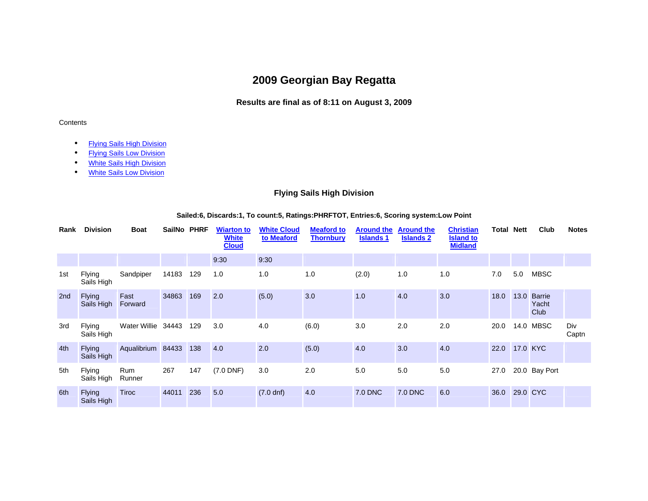# **2009 Georgian Bay Regatta**

### **Results are final as of 8:11 on August 3, 2009**

#### Contents

- Flying Sails High Division
- **Flying Sails Low Division**
- White Sails High Division
- White Sails Low Division

### **Flying Sails High Division**

#### **Sailed:6, Discards:1, To count:5, Ratings:PHRFTOT, Entries:6, Scoring system:Low Point**

| Rank | <b>Division</b>             | <b>Boat</b>       | SailNo PHRF |     | <b>Wiarton to</b><br><b>White</b><br><b>Cloud</b> | <b>White Cloud</b><br>to Meaford | <b>Meaford to</b><br><b>Thornbury</b> | <b>Around the</b><br><b>Islands 1</b> | <b>Around the</b><br><b>Islands 2</b> | <b>Christian</b><br><b>Island to</b><br><b>Midland</b> | <b>Total Nett</b> |      | Club                           | <b>Notes</b> |
|------|-----------------------------|-------------------|-------------|-----|---------------------------------------------------|----------------------------------|---------------------------------------|---------------------------------------|---------------------------------------|--------------------------------------------------------|-------------------|------|--------------------------------|--------------|
|      |                             |                   |             |     | 9:30                                              | 9:30                             |                                       |                                       |                                       |                                                        |                   |      |                                |              |
| 1st  | <b>Flying</b><br>Sails High | Sandpiper         | 14183       | 129 | 1.0                                               | 1.0                              | 1.0                                   | (2.0)                                 | 1.0                                   | 1.0                                                    | 7.0               | 5.0  | <b>MBSC</b>                    |              |
| 2nd  | <b>Flying</b><br>Sails High | Fast<br>Forward   | 34863       | 169 | 2.0                                               | (5.0)                            | 3.0                                   | 1.0                                   | 4.0                                   | 3.0                                                    | 18.0              | 13.0 | <b>Barrie</b><br>Yacht<br>Club |              |
| 3rd  | <b>Flying</b><br>Sails High | Water Willie      | 34443       | 129 | 3.0                                               | 4.0                              | (6.0)                                 | 3.0                                   | 2.0                                   | 2.0                                                    | 20.0              |      | 14.0 MBSC                      | Div<br>Captn |
| 4th  | <b>Flying</b><br>Sails High | Aqualibrium 84433 |             | 138 | 4.0                                               | 2.0                              | (5.0)                                 | 4.0                                   | 3.0                                   | 4.0                                                    | 22.0              |      | 17.0 KYC                       |              |
| 5th  | <b>Flying</b><br>Sails High | Rum<br>Runner     | 267         | 147 | $(7.0$ DNF)                                       | 3.0                              | 2.0                                   | 5.0                                   | 5.0                                   | 5.0                                                    | 27.0              |      | 20.0 Bay Port                  |              |
| 6th  | <b>Flying</b><br>Sails High | <b>Tiroc</b>      | 44011       | 236 | 5.0                                               | $(7.0 \text{ dn})$               | 4.0                                   | 7.0 DNC                               | 7.0 DNC                               | 6.0                                                    | 36.0              |      | 29.0 CYC                       |              |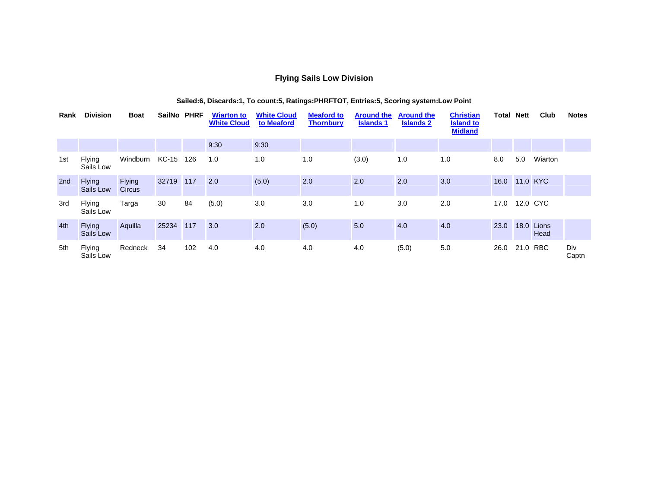### **Flying Sails Low Division**

| Rank | <b>Division</b>            | <b>Boat</b>                    | SailNo PHRF |     | <b>Wiarton to</b><br><b>White Cloud</b> | <b>White Cloud</b><br>to Meaford | <b>Meaford to</b><br><b>Thornbury</b> | <b>Around the</b><br><b>Islands 1</b> | <b>Around the</b><br><b>Islands 2</b> | <b>Christian</b><br><b>Island to</b><br><b>Midland</b> | Total | Nett     | Club               | <b>Notes</b> |
|------|----------------------------|--------------------------------|-------------|-----|-----------------------------------------|----------------------------------|---------------------------------------|---------------------------------------|---------------------------------------|--------------------------------------------------------|-------|----------|--------------------|--------------|
|      |                            |                                |             |     | 9:30                                    | 9:30                             |                                       |                                       |                                       |                                                        |       |          |                    |              |
| 1st  | <b>Flying</b><br>Sails Low | Windburn                       | KC-15       | 126 | 1.0                                     | 1.0                              | 1.0                                   | (3.0)                                 | 1.0                                   | 1.0                                                    | 8.0   | 5.0      | Wiarton            |              |
| 2nd  | <b>Flying</b><br>Sails Low | <b>Flying</b><br><b>Circus</b> | 32719       | 117 | 2.0                                     | (5.0)                            | 2.0                                   | 2.0                                   | 2.0                                   | 3.0                                                    | 16.0  | 11.0 KYC |                    |              |
| 3rd  | <b>Flying</b><br>Sails Low | Targa                          | 30          | 84  | (5.0)                                   | 3.0                              | 3.0                                   | 1.0                                   | 3.0                                   | 2.0                                                    | 17.0  |          | 12.0 CYC           |              |
| 4th  | <b>Flying</b><br>Sails Low | Aquilla                        | 25234       | 117 | 3.0                                     | 2.0                              | (5.0)                                 | 5.0                                   | 4.0                                   | 4.0                                                    | 23.0  |          | 18.0 Lions<br>Head |              |
| 5th  | <b>Flying</b><br>Sails Low | Redneck                        | 34          | 102 | 4.0                                     | 4.0                              | 4.0                                   | 4.0                                   | (5.0)                                 | 5.0                                                    | 26.0  | 21.0 RBC |                    | Div<br>Captn |

### **Sailed:6, Discards:1, To count:5, Ratings:PHRFTOT, Entries:5, Scoring system:Low Point**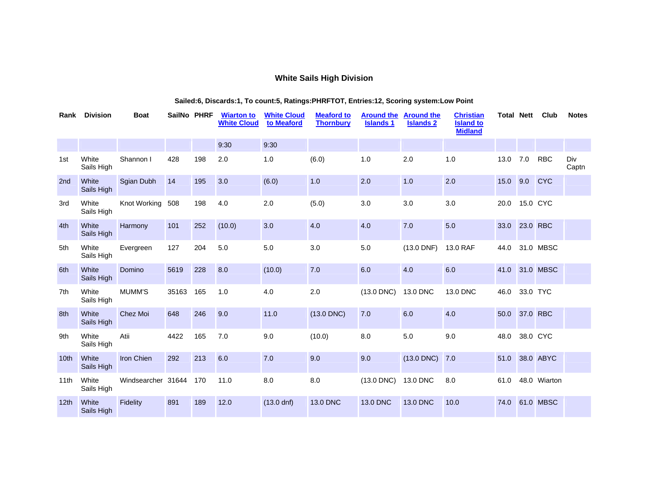#### **White Sails High Division**

#### **Rank Division Boat SailNo PHRF Wiarton to White Cloud White Cloud to Meaford Meaford to Thornbury Around the Around the Islands 1 Islands 2 Christian Island to Midland Total Nett Club Notes** 9:30 9:30 1st White Sails High Shannon | 428 198 2.0 1.0 (6.0) 1.0 2.0 1.0 13.0 7.0 RBC Div Captn 2nd White Sails High Sgian Dubh 14 195 3.0 (6.0) 1.0 2.0 1.0 2.0 15.0 9.0 CYC 3rd White Sails High Knot Working 508 198 4.0 2.0 (5.0) 3.0 3.0 3.0 20.0 15.0 CYC 4th White Sails High Harmony 101 252 (10.0) 3.0 4.0 4.0 7.0 5.0 33.0 23.0 RBC 5th White Sails High Evergreen 127 204 5.0 5.0 3.0 5.0 (13.0 DNF) 13.0 RAF 44.0 31.0 MBSC 6th White Sails High Domino 5619 228 8.0 (10.0) 7.0 6.0 4.0 6.0 41.0 31.0 MBSC 7th White Sails High MUMM'S 35163 165 1.0 4.0 2.0 (13.0 DNC) 13.0 DNC 13.0 DNC 46.0 33.0 TYC 8th White Sails High Chez Moi 648 246 9.0 11.0 (13.0 DNC) 7.0 6.0 4.0 50.0 37.0 RBC 9th White Sails High Atii 4422 165 7.0 9.0 (10.0) 8.0 5.0 9.0 48.0 38.0 CYC 10th White Sails High Iron Chien 292 213 6.0 7.0 9.0 9.0 (13.0 DNC) 7.0 51.0 38.0 ABYC 11th White Sails High Windsearcher 31644 170 11.0 8.0 8.0 (13.0 DNC) 13.0 DNC 8.0 61.0 48.0 Wiarton 12th White Sails High Fidelity 891 189 12.0 (13.0 dnf) 13.0 DNC 13.0 DNC 13.0 DNC 10.0 74.0 61.0 MBSC

#### **Sailed:6, Discards:1, To count:5, Ratings:PHRFTOT, Entries:12, Scoring system:Low Point**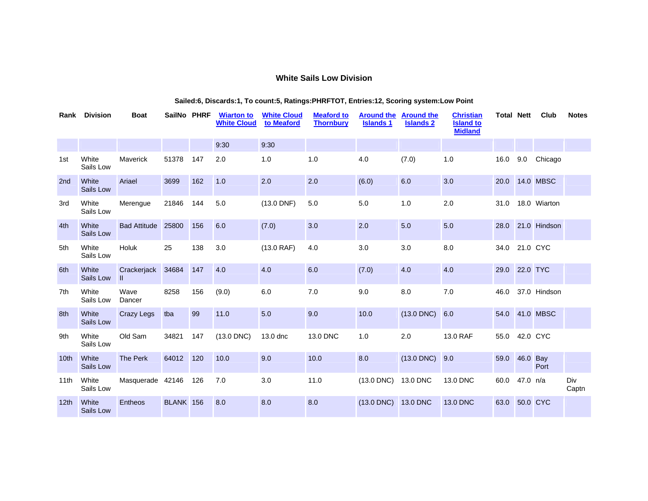### **White Sails Low Division**

| Rank             | <b>Division</b>    | <b>Boat</b>                 | SailNo PHRF |     | <b>Wiarton to</b><br><b>White Cloud</b> | <b>White Cloud</b><br>to Meaford | <b>Meaford to</b><br><b>Thornbury</b> | <b>Around the</b><br><b>Islands 1</b> | <b>Around the</b><br><b>Islands 2</b> | <b>Christian</b><br><b>Island to</b><br><b>Midland</b> | <b>Total Nett</b> |          | Club             | <b>Notes</b> |
|------------------|--------------------|-----------------------------|-------------|-----|-----------------------------------------|----------------------------------|---------------------------------------|---------------------------------------|---------------------------------------|--------------------------------------------------------|-------------------|----------|------------------|--------------|
|                  |                    |                             |             |     | 9:30                                    | 9:30                             |                                       |                                       |                                       |                                                        |                   |          |                  |              |
| 1st              | White<br>Sails Low | Maverick                    | 51378       | 147 | 2.0                                     | 1.0                              | 1.0                                   | 4.0                                   | (7.0)                                 | 1.0                                                    | 16.0              | 9.0      | Chicago          |              |
| 2 <sub>nd</sub>  | White<br>Sails Low | Ariael                      | 3699        | 162 | 1.0                                     | 2.0                              | 2.0                                   | (6.0)                                 | 6.0                                   | 3.0                                                    | 20.0              |          | <b>14.0 MBSC</b> |              |
| 3rd              | White<br>Sails Low | Merengue                    | 21846       | 144 | 5.0                                     | $(13.0$ DNF)                     | 5.0                                   | 5.0                                   | 1.0                                   | 2.0                                                    | 31.0              |          | 18.0 Wiarton     |              |
| 4th              | White<br>Sails Low | <b>Bad Attitude</b>         | 25800       | 156 | 6.0                                     | (7.0)                            | 3.0                                   | 2.0                                   | $5.0$                                 | 5.0                                                    | 28.0              |          | 21.0 Hindson     |              |
| 5th              | White<br>Sails Low | Holuk                       | 25          | 138 | 3.0                                     | (13.0 RAF)                       | 4.0                                   | 3.0                                   | 3.0                                   | 8.0                                                    | 34.0              | 21.0 CYC |                  |              |
| 6th              | White<br>Sails Low | Crackerjack<br>$\mathbf{I}$ | 34684       | 147 | 4.0                                     | 4.0                              | 6.0                                   | (7.0)                                 | 4.0                                   | 4.0                                                    | 29.0              | 22.0 TYC |                  |              |
| 7th              | White<br>Sails Low | Wave<br>Dancer              | 8258        | 156 | (9.0)                                   | 6.0                              | 7.0                                   | 9.0                                   | 8.0                                   | 7.0                                                    | 46.0              |          | 37.0 Hindson     |              |
| 8th              | White<br>Sails Low | <b>Crazy Legs</b>           | tba         | 99  | 11.0                                    | 5.0                              | 9.0                                   | 10.0                                  | $(13.0 \text{ DNC})$ 6.0              |                                                        | 54.0              |          | 41.0 MBSC        |              |
| 9th              | White<br>Sails Low | Old Sam                     | 34821       | 147 | $(13.0$ DNC)                            | 13.0 dnc                         | 13.0 DNC                              | 1.0                                   | 2.0                                   | 13.0 RAF                                               | 55.0              | 42.0 CYC |                  |              |
| 10 <sub>th</sub> | White<br>Sails Low | The Perk                    | 64012       | 120 | 10.0                                    | 9.0                              | 10.0                                  | 8.0                                   | $(13.0 \text{ DNC})$ 9.0              |                                                        | 59.0              | 46.0 Bay | Port             |              |
| 11th             | White<br>Sails Low | Masquerade 42146            |             | 126 | 7.0                                     | 3.0                              | 11.0                                  | $(13.0$ DNC $)$                       | 13.0 DNC                              | 13.0 DNC                                               | 60.0              | 47.0 n/a |                  | Div<br>Captn |
| 12 <sub>th</sub> | White<br>Sails Low | Entheos                     | BLANK 156   |     | 8.0                                     | 8.0                              | 8.0                                   | $(13.0$ DNC)                          | 13.0 DNC                              | 13.0 DNC                                               | 63.0              | 50.0 CYC |                  |              |

#### **Sailed:6, Discards:1, To count:5, Ratings:PHRFTOT, Entries:12, Scoring system:Low Point**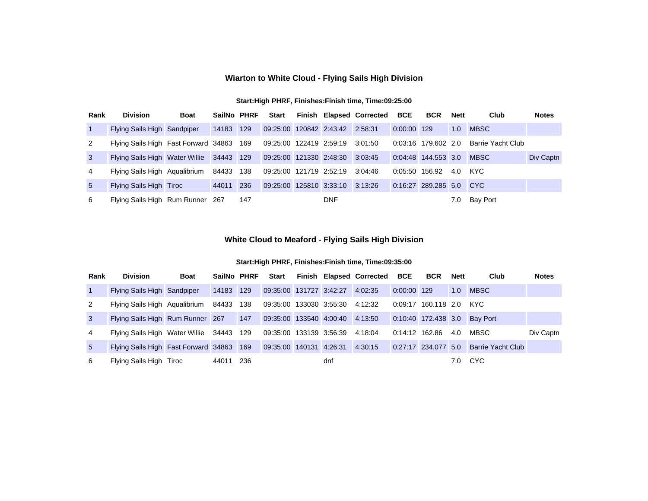## **Wiarton to White Cloud - Flying Sails High Division**

| Rank           | <b>Division</b>                          | <b>Boat</b> | SailNo PHRF |     | Start                           |            | Finish Elapsed Corrected BCE |                | <b>BCR</b>          | Nett | Club              | <b>Notes</b> |
|----------------|------------------------------------------|-------------|-------------|-----|---------------------------------|------------|------------------------------|----------------|---------------------|------|-------------------|--------------|
| $\overline{1}$ | Flying Sails High Sandpiper              |             | 14183 129   |     | 09:25:00 120842 2:43:42 2:58:31 |            |                              | 0:00:00 129    |                     | 1.0  | <b>MBSC</b>       |              |
| 2              | Flying Sails High Fast Forward 34863 169 |             |             |     | 09:25:00 122419 2:59:19 3:01:50 |            |                              |                | 0:03:16 179.602 2.0 |      | Barrie Yacht Club |              |
| 3              | Flying Sails High Water Willie           |             | 34443 129   |     | 09:25:00 121330 2:48:30 3:03:45 |            |                              |                | 0:04:48 144.553 3.0 |      | MBSC              | Div Captn    |
| 4              | Flying Sails High Agualibrium            |             | 84433 138   |     | 09:25:00 121719 2:52:19 3:04:46 |            |                              | 0:05:50 156.92 |                     | 4.0  | KYC.              |              |
| $5^{\circ}$    | Flying Sails High Tiroc                  |             | 44011       | 236 | 09:25:00 125810 3:33:10 3:13:26 |            |                              |                | 0:16:27 289.285 5.0 |      | <b>CYC</b>        |              |
| 6              | Flying Sails High Rum Runner 267         |             |             | 147 |                                 | <b>DNF</b> |                              |                |                     | 7.0  | <b>Bay Port</b>   |              |

### **White Cloud to Meaford - Flying Sails High Division**

| Rank           | <b>Division</b>                          | <b>Boat</b> | SailNo PHRF |     | Start                           |     | Finish Elapsed Corrected BCE |                | <b>BCR</b>            | Nett | Club                         | <b>Notes</b> |
|----------------|------------------------------------------|-------------|-------------|-----|---------------------------------|-----|------------------------------|----------------|-----------------------|------|------------------------------|--------------|
| $\overline{1}$ | Flying Sails High Sandpiper              |             | 14183 129   |     | 09:35:00 131727 3:42:27 4:02:35 |     |                              | 0:00:00 129    |                       | 1.0  | <b>MBSC</b>                  |              |
| 2              | Flying Sails High Agualibrium 84433 138  |             |             |     | 09:35:00 133030 3:55:30 4:12:32 |     |                              |                | 0:09:17 160.118 2.0   |      | KYC                          |              |
| $\mathbf{3}$   | Flying Sails High Rum Runner 267 147     |             |             |     | 09:35:00 133540 4:00:40 4:13:50 |     |                              |                |                       |      | 0:10:40 172.438 3.0 Bay Port |              |
| 4              | Flying Sails High Water Willie 34443 129 |             |             |     | 09:35:00 133139 3:56:39 4:18:04 |     |                              | 0:14:12 162.86 |                       | 4.0  | MBSC                         | Div Captn    |
| 5 <sup>5</sup> | Flying Sails High Fast Forward 34863 169 |             |             |     | 09:35:00 140131 4:26:31         |     | 4:30:15                      |                | $0:27:17$ 234.077 5.0 |      | <b>Barrie Yacht Club</b>     |              |
| 6              | Flying Sails High Tiroc                  |             | 44011       | 236 |                                 | dnf |                              |                |                       | 7.0  | <b>CYC</b>                   |              |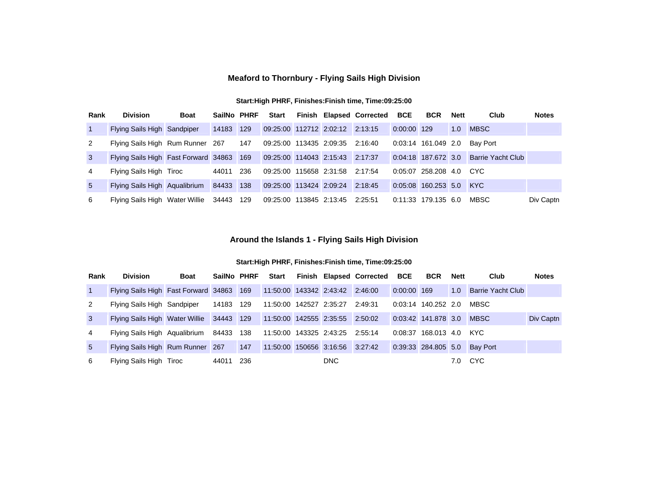### **Meaford to Thornbury - Flying Sails High Division**

#### **Start:High PHRF, Finishes:Finish time, Time:09:25:00**

| Rank           | <b>Division</b>                                                          | <b>Boat</b> | SailNo PHRF |     | Start                           |  | Finish Elapsed Corrected BCE |             | <b>BCR</b>            | Nett | Club                     | <b>Notes</b> |
|----------------|--------------------------------------------------------------------------|-------------|-------------|-----|---------------------------------|--|------------------------------|-------------|-----------------------|------|--------------------------|--------------|
| $\overline{1}$ | Flying Sails High Sandpiper                                              |             | 14183 129   |     | 09:25:00 112712 2:02:12 2:13:15 |  |                              | 0:00:00 129 |                       | 1.0  | <b>MBSC</b>              |              |
| 2              | Flying Sails High Rum Runner 267                                         |             |             | 147 | 09:25:00 113435 2:09:35 2:16:40 |  |                              |             | 0:03:14 161.049 2.0   |      | Bav Port                 |              |
| 3              | Flying Sails High Fast Forward 34863 169 09:25:00 114043 2:15:43 2:17:37 |             |             |     |                                 |  |                              |             | $0:04:18$ 187.672 3.0 |      | <b>Barrie Yacht Club</b> |              |
| 4              | Flying Sails High Tiroc                                                  |             | 44011       | 236 | 09:25:00 115658 2:31:58 2:17:54 |  |                              |             | $0:05:07$ 258.208 4.0 |      | CYC.                     |              |
| $5^{\circ}$    | Flying Sails High Aqualibrium                                            |             | 84433 138   |     | 09:25:00 113424 2:09:24         |  | 2:18:45                      |             | $0:05:08$ 160.253 5.0 |      | <b>KYC</b>               |              |
| 6              | Flying Sails High Water Willie                                           |             | 34443       | 129 | 09:25:00 113845 2:13:45 2:25:51 |  |                              |             | 0:11:33 179.135 6.0   |      | MBSC                     | Div Captn    |

### **Around the Islands 1 - Flying Sails High Division**

| Rank           | <b>Division</b>                                                          | <b>Boat</b> | SailNo PHRF |     | Start                           |            | Finish Elapsed Corrected BCE |             | <b>BCR</b>              | Nett | Club                         | <b>Notes</b> |
|----------------|--------------------------------------------------------------------------|-------------|-------------|-----|---------------------------------|------------|------------------------------|-------------|-------------------------|------|------------------------------|--------------|
| $\vert$ 1      | Flying Sails High Fast Forward 34863 169 11:50:00 143342 2:43:42 2:46:00 |             |             |     |                                 |            |                              | 0:00:00 169 |                         | 1.0  | Barrie Yacht Club            |              |
| 2              | Flying Sails High Sandpiper 14183 129                                    |             |             |     | 11:50:00  142527  2:35:27       |            | 2:49:31                      |             | $0:03:14$ 140.252 2.0   |      | MBSC                         |              |
| $\mathbf{3}$   | Flying Sails High Water Willie 34443 129 11:50:00 142555 2:35:55 2:50:02 |             |             |     |                                 |            |                              |             | 0:03:42 141.878 3.0     |      | MBSC                         | Div Captn    |
| 4              | Flying Sails High Agualibrium 84433 138 11:50:00 143325 2:43:25 2:55:14  |             |             |     |                                 |            |                              |             | 0:08:37 168.013 4.0 KYC |      |                              |              |
| 5 <sup>5</sup> | Flying Sails High Rum Runner 267                                         |             |             | 147 | 11:50:00 150656 3:16:56 3:27:42 |            |                              |             |                         |      | 0:39:33 284.805 5.0 Bay Port |              |
| 6              | Flying Sails High Tiroc                                                  |             | 44011       | 236 |                                 | <b>DNC</b> |                              |             |                         | 7.0  | <b>CYC</b>                   |              |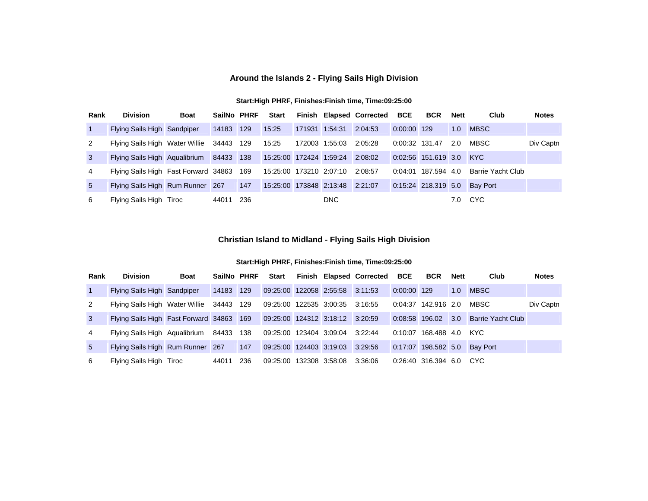## **Around the Islands 2 - Flying Sails High Division**

| Rank           | <b>Division</b>                          | <b>Boat</b> | SailNo PHRF |      | Start                           |                |                        | Finish Elapsed Corrected BCE |             | <b>BCR</b>              | <b>Nett</b> | Club              | <b>Notes</b> |
|----------------|------------------------------------------|-------------|-------------|------|---------------------------------|----------------|------------------------|------------------------------|-------------|-------------------------|-------------|-------------------|--------------|
| $\vert$ 1      | Flying Sails High Sandpiper              |             | 14183 129   |      | 15:25                           | 171931 1:54:31 |                        | 2:04:53                      | 0:00:00 129 |                         | 1.0         | <b>MBSC</b>       |              |
| 2              | Flying Sails High Water Willie           |             | 34443 129   |      | 15:25                           |                | 172003 1:55:03 2:05:28 |                              |             | 0:00:32 131.47          | 2.0         | MBSC              | Div Captn    |
| $\mathbf{3}$   | Flying Sails High Aqualibrium 84433 138  |             |             |      | 15:25:00 172424 1:59:24 2:08:02 |                |                        |                              |             | 0:02:56 151.619 3.0 KYC |             |                   |              |
| $\overline{4}$ | Flying Sails High Fast Forward 34863 169 |             |             |      | 15:25:00 173210 2:07:10 2:08:57 |                |                        |                              | 0:04:01     | 187.594 4.0             |             | Barrie Yacht Club |              |
| 5 <sup>5</sup> | Flying Sails High Rum Runner 267         |             |             | 147  | 15:25:00 173848 2:13:48 2:21:07 |                |                        |                              |             | 0:15:24 218.319 5.0     |             | <b>Bay Port</b>   |              |
| 6              | Flying Sails High Tiroc                  |             | 44011       | -236 |                                 |                | <b>DNC</b>             |                              |             |                         | 7.0         | CYC               |              |

### **Christian Island to Midland - Flying Sails High Division**

| Rank           | <b>Division</b>                                                          | <b>Boat</b> | SailNo PHRF |     | Start                           |  | Finish Elapsed Corrected BCE |               | <b>BCR</b>              | Nett | Club                         | <b>Notes</b> |
|----------------|--------------------------------------------------------------------------|-------------|-------------|-----|---------------------------------|--|------------------------------|---------------|-------------------------|------|------------------------------|--------------|
| $\vert$ 1      | Flying Sails High Sandpiper 14183 129                                    |             |             |     | 09:25:00 122058 2:55:58 3:11:53 |  |                              | $0:00:00$ 129 |                         | 1.0  | <b>MBSC</b>                  |              |
| 2              | Flying Sails High Water Willie 34443 129                                 |             |             |     | 09:25:00 122535 3:00:35 3:16:55 |  |                              |               | 0:04:37 142.916 2.0     |      | MBSC                         | Div Captn    |
| $\mathbf{3}$   | Flying Sails High Fast Forward 34863 169 09:25:00 124312 3:18:12 3:20:59 |             |             |     |                                 |  |                              |               | $0:08:58$ 196.02 3.0    |      | <b>Barrie Yacht Club</b>     |              |
| $\overline{4}$ | Flying Sails High Agualibrium 84433 138                                  |             |             |     | 09:25:00 123404 3:09:04 3:22:44 |  |                              | 0:10:07       |                         |      |                              |              |
| 5 <sup>5</sup> | Flying Sails High Rum Runner 267                                         |             |             | 147 | 09:25:00 124403 3:19:03 3:29:56 |  |                              |               |                         |      | 0:17:07 198.582 5.0 Bay Port |              |
| 6              | Flying Sails High Tiroc                                                  |             | 44011       | 236 | 09:25:00 132308 3:58:08         |  | 3:36:06                      |               | 0:26:40 316.394 6.0 CYC |      |                              |              |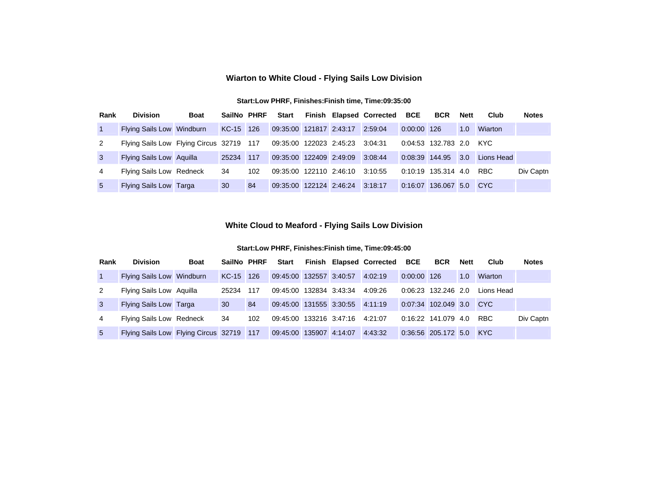### **Wiarton to White Cloud - Flying Sails Low Division**

#### **Start:Low PHRF, Finishes:Finish time, Time:09:35:00**

| Rank           | <b>Division</b>                          | <b>Boat</b> | SailNo PHRF |     | Start                           |  | Finish Elapsed Corrected BCE |                | <b>BCR</b>              | <b>Nett</b> | Club       | <b>Notes</b> |
|----------------|------------------------------------------|-------------|-------------|-----|---------------------------------|--|------------------------------|----------------|-------------------------|-------------|------------|--------------|
| $\overline{1}$ | Flying Sails Low Windburn                |             | KC-15 126   |     | 09:35:00 121817 2:43:17 2:59:04 |  |                              | 0:00:00 126    |                         | 1.0         | Wiarton    |              |
| 2              | Flying Sails Low Flying Circus 32719 117 |             |             |     | 09:35:00 122023 2:45:23 3:04:31 |  |                              |                | 0:04:53 132.783 2.0 KYC |             |            |              |
| $\mathbf{3}$   | Flying Sails Low Aquilla                 |             | 25234       | 117 | 09:35:00 122409 2:49:09         |  | 3:08:44                      | 0:08:39 144.95 |                         | 3.0         | Lions Head |              |
| 4              | Flying Sails Low Redneck                 |             | 34          | 102 | 09:35:00 122110 2:46:10         |  | 3:10:55                      |                | $0:10:19$ 135.314 4.0   |             | <b>RBC</b> | Div Captn    |
| -5             | Flying Sails Low Targa                   |             | 30          | 84  | 09:35:00 122124 2:46:24 3:18:17 |  |                              | 0:16:07        | 136.067 5.0 CYC         |             |            |              |

### **White Cloud to Meaford - Flying Sails Low Division**

| Rank            | <b>Division</b>                          | <b>Boat</b> | SailNo PHRF |     | Start                           |  | Finish Elapsed Corrected BCE |               | <b>BCR</b>              | <b>Nett</b> | Club       | <b>Notes</b> |
|-----------------|------------------------------------------|-------------|-------------|-----|---------------------------------|--|------------------------------|---------------|-------------------------|-------------|------------|--------------|
| $\overline{1}$  | Flying Sails Low Windburn                |             | KC-15 126   |     | 09:45:00 132557 3:40:57         |  | 4:02:19                      | $0:00:00$ 126 |                         | 1.0         | Wiarton    |              |
| 2               | Flying Sails Low Aquilla                 |             | 25234       | 117 | 09:45:00 132834 3:43:34         |  | 4:09:26                      |               | 0:06:23 132.246 2.0     |             | Lions Head |              |
| 3               | <b>Flying Sails Low Targa</b>            |             | 30          | 84  | 09:45:00 131555 3:30:55 4:11:19 |  |                              |               | 0:07:34 102.049 3.0 CYC |             |            |              |
| 4               | Flying Sails Low Redneck                 |             | 34          | 102 | 09:45:00 133216 3:47:16         |  | 4:21:07                      |               | 0:16:22 141.079 4.0     |             | <b>RBC</b> | Div Captn    |
| $5\overline{)}$ | Flying Sails Low Flying Circus 32719 117 |             |             |     | 09:45:00 135907 4:14:07         |  | 4:43:32                      |               | 0:36:56 205.172 5.0 KYC |             |            |              |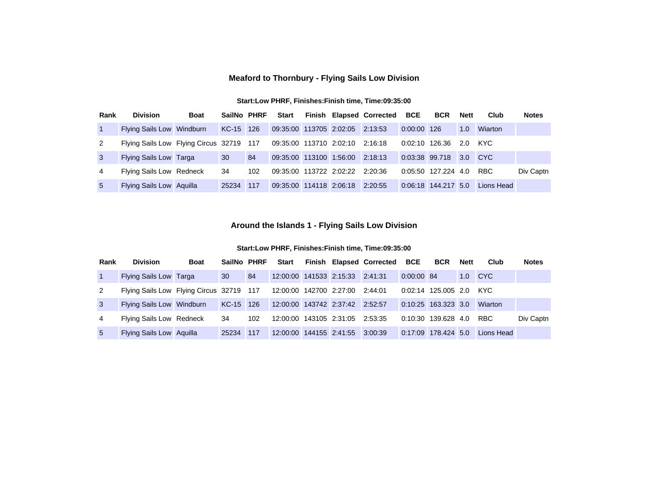### **Meaford to Thornbury - Flying Sails Low Division**

#### **Start:Low PHRF, Finishes:Finish time, Time:09:35:00**

| Rank           | <b>Division</b>                          | <b>Boat</b> | SailNo PHRF |     | <b>Start</b>                    |                                 | Finish Elapsed Corrected BCE |                | <b>BCR</b>             | <b>Nett</b> | Club       | <b>Notes</b> |
|----------------|------------------------------------------|-------------|-------------|-----|---------------------------------|---------------------------------|------------------------------|----------------|------------------------|-------------|------------|--------------|
| $\blacksquare$ | Flying Sails Low Windburn                |             | KC-15 126   |     | 09:35:00 113705 2:02:05 2:13:53 |                                 |                              | $0:00:00$ 126  |                        | 1.0         | Wiarton    |              |
| 2              | Flying Sails Low Flying Circus 32719 117 |             |             |     | 09:35:00 113710 2:02:10         |                                 | 2:16:18                      | 0:02:10 126.36 |                        | 2.0         | KYC.       |              |
| $\mathbf{3}$   | <b>Flying Sails Low Targa</b>            |             | 30          | 84  | 09:35:00 113100 1:56:00         |                                 | 2:18:13                      |                | 0:03:38 99.718 3.0 CYC |             |            |              |
| 4              | Flying Sails Low Redneck                 |             | 34          | 102 |                                 | 09:35:00 113722 2:02:22 2:20:36 |                              |                | $0:05:50$ 127.224 4.0  |             | <b>RBC</b> | Div Captn    |
| -5             | Flying Sails Low Aquilla                 |             | 25234       | 117 | 09:35:00 114118 2:06:18         |                                 | 2:20:55                      |                | 0:06:18 144.217 5.0    |             | Lions Head |              |

### **Around the Islands 1 - Flying Sails Low Division**

| Rank           | <b>Division</b>                                                          | <b>Boat</b> | SailNo PHRF |     | Start                           |                                 | Finish Elapsed Corrected BCE |              | <b>BCR</b>              | Nett | Club           | <b>Notes</b> |
|----------------|--------------------------------------------------------------------------|-------------|-------------|-----|---------------------------------|---------------------------------|------------------------------|--------------|-------------------------|------|----------------|--------------|
| $\overline{1}$ | Flying Sails Low Targa                                                   |             | 30          | 84  |                                 | 12:00:00 141533 2:15:33 2:41:31 |                              | $0:00:00$ 84 |                         |      | 1.0 CYC        |              |
| $\overline{2}$ | Flying Sails Low Flying Circus 32719 117 12:00:00 142700 2:27:00 2:44:01 |             |             |     |                                 |                                 |                              |              | 0:02:14 125.005 2.0 KYC |      |                |              |
| $\overline{3}$ | Flying Sails Low Windburn                                                |             | KC-15 126   |     | 12:00:00 143742 2:37:42 2:52:57 |                                 |                              |              | 0:10:25 163.323 3.0     |      | <b>Wiarton</b> |              |
| 4              | Flying Sails Low Redneck                                                 |             | 34          | 102 |                                 | 12:00:00 143105 2:31:05 2:53:35 |                              |              | $0:10:30$ 139.628 4.0   |      | <b>RBC</b>     | Div Captn    |
| 5 <sup>5</sup> | Flying Sails Low Aguilla                                                 |             | 25234       | 117 | 12:00:00 144155 2:41:55 3:00:39 |                                 |                              |              | 0:17:09 178.424 5.0     |      | Lions Head     |              |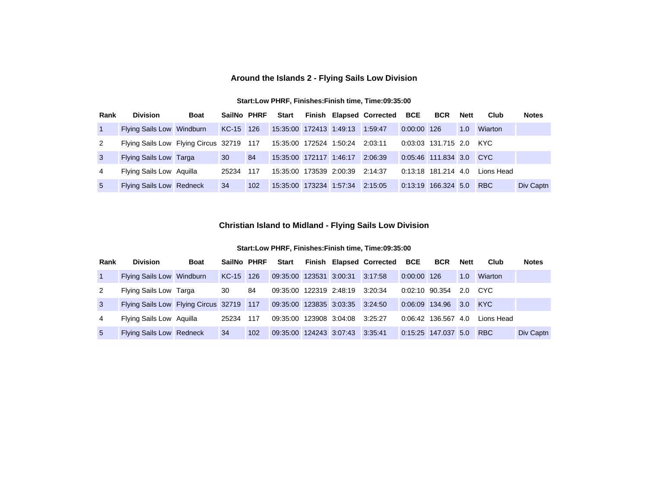### **Around the Islands 2 - Flying Sails Low Division**

#### **Start:Low PHRF, Finishes:Finish time, Time:09:35:00**

| Rank           | <b>Division</b>                          | <b>Boat</b> | SailNo PHRF |     | <b>Start</b>                    |                         | Finish Elapsed Corrected BCE |               | <b>BCR</b>              | <b>Nett</b> | Club       | <b>Notes</b> |
|----------------|------------------------------------------|-------------|-------------|-----|---------------------------------|-------------------------|------------------------------|---------------|-------------------------|-------------|------------|--------------|
| $\overline{1}$ | Flying Sails Low Windburn                |             | KC-15 126   |     | 15:35:00 172413 1:49:13         |                         | 1:59:47                      | $0:00:00$ 126 |                         | 1.0         | Wiarton    |              |
| 2              | Flying Sails Low Flying Circus 32719 117 |             |             |     | 15:35:00 172524 1:50:24         |                         | 2:03:11                      |               | 0:03:03 131.715 2.0 KYC |             |            |              |
| $\mathbf{3}$   | <b>Flying Sails Low Targa</b>            |             | 30          | 84  |                                 | 15:35:00 172117 1:46:17 | 2:06:39                      |               | 0:05:46 111.834 3.0 CYC |             |            |              |
| 4              | Flying Sails Low Aquilla                 |             | 25234       | 117 | 15:35:00 173539 2:00:39         |                         | 2:14:37                      |               | 0:13:18 181.214 4.0     |             | Lions Head |              |
| -5             | Flying Sails Low Redneck                 |             | 34          | 102 | 15:35:00 173234 1:57:34 2:15:05 |                         |                              |               | 0:13:19 166.324 5.0     |             | <b>RBC</b> | Div Captn    |

### **Christian Island to Midland - Flying Sails Low Division**

| Rank           | <b>Division</b>                                                          | <b>Boat</b> | SailNo PHRF |       | Start                           |  | Finish Elapsed Corrected BCE |                | <b>BCR</b>             | Nett | Club       | <b>Notes</b> |
|----------------|--------------------------------------------------------------------------|-------------|-------------|-------|---------------------------------|--|------------------------------|----------------|------------------------|------|------------|--------------|
| $\overline{1}$ | Flying Sails Low Windburn                                                |             | KC-15 126   |       | 09:35:00 123531 3:00:31 3:17:58 |  |                              | 0:00:00 126    |                        | 1.0  | Wiarton    |              |
| 2              | Flying Sails Low Targa                                                   |             | 30          | 84    | 09:35:00 122319 2:48:19 3:20:34 |  |                              | 0:02:10 90.354 |                        |      | 2.0 CYC    |              |
| $\mathbf{3}$   | Flying Sails Low Flying Circus 32719 117 09:35:00 123835 3:03:35 3:24:50 |             |             |       |                                 |  |                              |                | 0:06:09 134.96 3.0 KYC |      |            |              |
| 4              | Flying Sails Low Aquilla                                                 |             | 25234       | - 117 | 09:35:00 123908 3:04:08 3:25:27 |  |                              |                | 0:06:42 136.567        | 4.0  | Lions Head |              |
| 5 <sup>5</sup> | <b>Flying Sails Low Redneck</b>                                          |             | 34          | 102   | 09:35:00 124243 3:07:43 3:35:41 |  |                              |                | 0:15:25 147.037 5.0    |      | <b>RBC</b> | Div Captn    |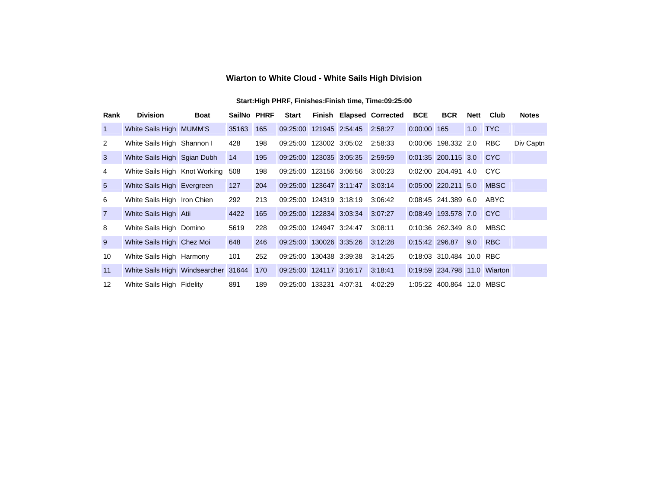### **Wiarton to White Cloud - White Sails High Division**

| Rank            | <b>Division</b>                     | <b>Boat</b> | SailNo PHRF |     | <b>Start</b>            |                                 | <b>Finish Elapsed Corrected</b> | <b>BCE</b>     | <b>BCR</b>                   | Nett | Club        | <b>Notes</b> |
|-----------------|-------------------------------------|-------------|-------------|-----|-------------------------|---------------------------------|---------------------------------|----------------|------------------------------|------|-------------|--------------|
| $\overline{1}$  | White Sails High MUMM'S             |             | 35163       | 165 |                         | 09:25:00 121945 2:54:45 2:58:27 |                                 | 0:00:00 165    |                              |      | 1.0 TYC     |              |
| 2               | White Sails High Shannon I          |             | 428         | 198 | 09:25:00 123002 3:05:02 |                                 | 2:58:33                         |                | 0:00:06 198.332 2.0          |      | <b>RBC</b>  | Div Captn    |
| 3               | White Sails High Sgian Dubh         |             | 14          | 195 | 09:25:00 123035 3:05:35 |                                 | 2:59:59                         |                | 0:01:35 200.115 3.0 CYC      |      |             |              |
| 4               | White Sails High Knot Working       |             | 508         | 198 | 09:25:00 123156 3:06:56 |                                 | 3:00:23                         |                | 0:02:00 204.491 4.0          |      | <b>CYC</b>  |              |
| $5\overline{)}$ | White Sails High Evergreen          |             | 127         | 204 | 09:25:00 123647 3:11:47 |                                 | 3:03:14                         |                | $0:05:00$ 220.211 5.0        |      | <b>MBSC</b> |              |
| 6               | White Sails High Iron Chien         |             | 292         | 213 | 09:25:00 124319 3:18:19 |                                 | 3:06:42                         |                | 0:08:45 241.389 6.0          |      | ABYC        |              |
| $\overline{7}$  | White Sails High Atii               |             | 4422        | 165 | 09:25:00 122834 3:03:34 |                                 | 3:07:27                         |                | 0:08:49 193.578 7.0 CYC      |      |             |              |
| 8               | White Sails High Domino             |             | 5619        | 228 | 09:25:00 124947 3:24:47 |                                 | 3:08:11                         |                | 0:10:36 262.349 8.0          |      | <b>MBSC</b> |              |
| 9               | White Sails High Chez Moi           |             | 648         | 246 | 09:25:00 130026 3:35:26 |                                 | 3:12:28                         | 0:15:42 296.87 |                              | 9.0  | <b>RBC</b>  |              |
| 10              | White Sails High Harmony            |             | 101         | 252 | 09:25:00 130438 3:39:38 |                                 | 3:14:25                         |                | 0:18:03 310.484 10.0 RBC     |      |             |              |
| 11              | White Sails High Windsearcher 31644 |             |             | 170 | 09:25:00 124117 3:16:17 |                                 | 3:18:41                         |                | 0:19:59 234.798 11.0 Wiarton |      |             |              |
| 12              | White Sails High Fidelity           |             | 891         | 189 | 09:25:00 133231 4:07:31 |                                 | 4:02:29                         |                | 1:05:22 400.864 12.0 MBSC    |      |             |              |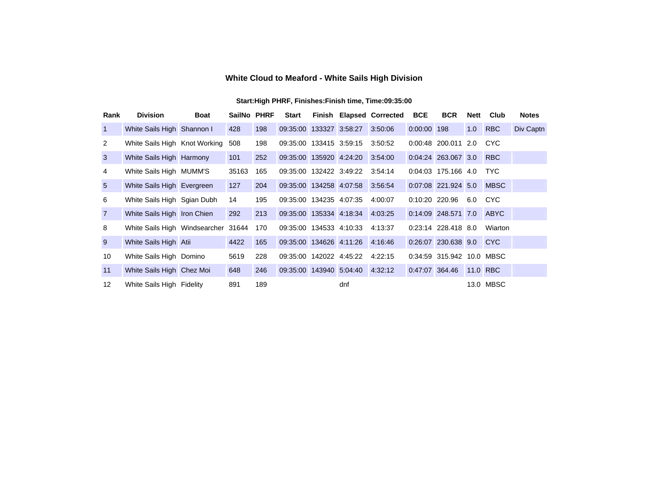## **White Cloud to Meaford - White Sails High Division**

| Rank           | <b>Division</b>                     | <b>Boat</b> | SailNo PHRF |     | <b>Start</b>            |                                 | Finish Elapsed Corrected | <b>BCE</b>     | <b>BCR</b>                | <b>Nett</b> | Club        | <b>Notes</b> |
|----------------|-------------------------------------|-------------|-------------|-----|-------------------------|---------------------------------|--------------------------|----------------|---------------------------|-------------|-------------|--------------|
| $\overline{1}$ | White Sails High Shannon I          |             | 428         | 198 | 09:35:00 133327 3:58:27 |                                 | 3:50:06                  | 0:00:00 198    |                           | 1.0         | <b>RBC</b>  | Div Captn    |
| 2              | White Sails High Knot Working       |             | 508         | 198 | 09:35:00 133415 3:59:15 |                                 | 3:50:52                  |                | 0:00:48 200.011 2.0       |             | <b>CYC</b>  |              |
| 3              | White Sails High Harmony            |             | 101         | 252 | 09:35:00 135920 4:24:20 |                                 | 3:54:00                  |                | 0:04:24 263.067 3.0       |             | <b>RBC</b>  |              |
| 4              | White Sails High MUMM'S             |             | 35163       | 165 | 09:35:00 132422 3:49:22 |                                 | 3:54:14                  |                | 0:04:03 175.166 4.0       |             | <b>TYC</b>  |              |
| 5              | White Sails High Evergreen          |             | 127         | 204 |                         | 09:35:00 134258 4:07:58 3:56:54 |                          |                | 0:07:08 221.924 5.0       |             | <b>MBSC</b> |              |
| 6              | White Sails High Sgian Dubh         |             | 14          | 195 | 09:35:00 134235 4:07:35 |                                 | 4:00:07                  |                | $0:10:20$ 220.96 6.0      |             | CYC         |              |
| $\overline{7}$ | White Sails High Iron Chien         |             | 292         | 213 |                         | 09:35:00 135334 4:18:34 4:03:25 |                          |                | 0:14:09 248.571 7.0       |             | <b>ABYC</b> |              |
| 8              | White Sails High Windsearcher 31644 |             |             | 170 |                         | 09:35:00 134533 4:10:33 4:13:37 |                          |                | 0:23:14 228.418 8.0       |             | Wiarton     |              |
| 9              | White Sails High Atii               |             | 4422        | 165 | 09:35:00 134626 4:11:26 |                                 | 4:16:46                  |                | 0:26:07 230.638 9.0       |             | <b>CYC</b>  |              |
| 10             | White Sails High Domino             |             | 5619        | 228 | 09:35:00 142022 4:45:22 |                                 | 4:22:15                  |                | 0:34:59 315.942 10.0 MBSC |             |             |              |
| 11             | White Sails High Chez Moi           |             | 648         | 246 |                         | 09:35:00 143940 5:04:40 4:32:12 |                          | 0:47:07 364.46 |                           |             | 11.0 RBC    |              |
| 12             | White Sails High Fidelity           |             | 891         | 189 |                         | dnf                             |                          |                |                           |             | 13.0 MBSC   |              |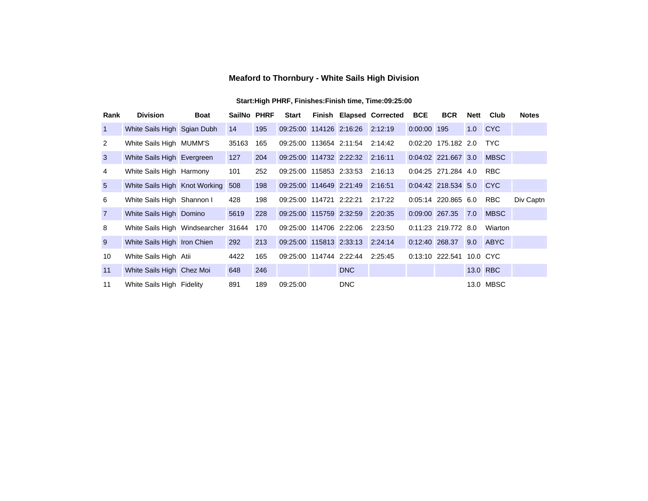### **Meaford to Thornbury - White Sails High Division**

| Rank           | <b>Division</b>                     | <b>Boat</b> | SailNo PHRF |     | <b>Start</b>            |                                 | <b>Finish Elapsed Corrected</b> | <b>BCE</b>     | <b>BCR</b>               | Nett | Club        | <b>Notes</b> |
|----------------|-------------------------------------|-------------|-------------|-----|-------------------------|---------------------------------|---------------------------------|----------------|--------------------------|------|-------------|--------------|
| $\vert$ 1      | White Sails High Sgian Dubh         |             | 14          | 195 |                         | 09:25:00 114126 2:16:26 2:12:19 |                                 | 0:00:00 195    |                          |      | 1.0 CYC     |              |
| 2              | White Sails High MUMM'S             |             | 35163       | 165 |                         | 09:25:00 113654 2:11:54 2:14:42 |                                 |                | 0:02:20 175.182 2.0      |      | <b>TYC</b>  |              |
| $\mathbf{3}$   | White Sails High Evergreen          |             | 127         | 204 |                         | 09:25:00 114732 2:22:32 2:16:11 |                                 |                | 0:04:02 221.667 3.0      |      | <b>MBSC</b> |              |
| 4              | White Sails High Harmony            |             | 101         | 252 | 09:25:00 115853 2:33:53 |                                 | 2:16:13                         |                | 0:04:25 271.284 4.0      |      | RBC.        |              |
| $5^{\circ}$    | White Sails High Knot Working       |             | 508         | 198 | 09:25:00 114649 2:21:49 |                                 | 2:16:51                         |                | 0:04:42 218.534 5.0      |      | CC          |              |
| 6              | White Sails High Shannon I          |             | 428         | 198 | 09:25:00 114721 2:22:21 |                                 | 2:17:22                         |                | 0:05:14 220.865 6.0      |      | <b>RBC</b>  | Div Captn    |
| $\overline{7}$ | White Sails High Domino             |             | 5619        | 228 | 09:25:00 115759 2:32:59 |                                 | 2:20:35                         | 0:09:00 267.35 |                          | 7.0  | <b>MBSC</b> |              |
| 8              | White Sails High Windsearcher 31644 |             |             | 170 |                         | 09:25:00 114706 2:22:06 2:23:50 |                                 |                | 0:11:23 219.772 8.0      |      | Wiarton     |              |
| 9              | White Sails High Iron Chien         |             | 292         | 213 |                         | 09:25:00 115813 2:33:13 2:24:14 |                                 | 0:12:40 268.37 |                          |      | 9.0 ABYC    |              |
| 10             | White Sails High Atii               |             | 4422        | 165 |                         | 09:25:00 114744 2:22:44 2:25:45 |                                 |                | 0:13:10 222.541 10.0 CYC |      |             |              |
| 11             | White Sails High Chez Moi           |             | 648         | 246 |                         | <b>DNC</b>                      |                                 |                |                          |      | 13.0 RBC    |              |
| 11             | White Sails High Fidelity           |             | 891         | 189 | 09:25:00                | <b>DNC</b>                      |                                 |                |                          |      | 13.0 MBSC   |              |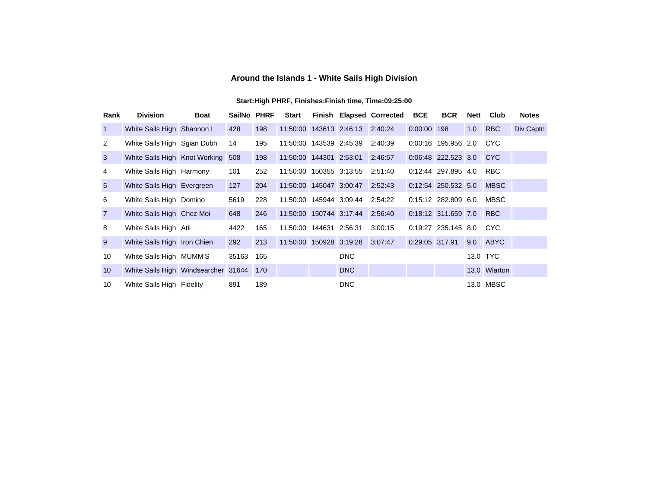## **Around the Islands 1 - White Sails High Division**

| Rank            | <b>Division</b>                         | <b>Boat</b> | SailNo PHRF |     | <b>Start</b>              |                                 | Finish Elapsed Corrected | <b>BCE</b>     | <b>BCR</b>              | Nett | Club         | <b>Notes</b> |
|-----------------|-----------------------------------------|-------------|-------------|-----|---------------------------|---------------------------------|--------------------------|----------------|-------------------------|------|--------------|--------------|
| $\mathbf{1}$    | White Sails High Shannon I              |             | 428         | 198 |                           | 11:50:00 143613 2:46:13 2:40:24 |                          | 0:00:00 198    |                         | 1.0  | <b>RBC</b>   | Div Captn    |
| 2               | White Sails High Sgian Dubh             |             | 14          | 195 | 11:50:00 143539 2:45:39   |                                 | 2:40:39                  |                | 0:00:16 195.956 2.0     |      | <b>CYC</b>   |              |
| $\mathbf{3}$    | White Sails High Knot Working           |             | 508         | 198 |                           | 11:50:00 144301 2:53:01 2:46:57 |                          |                | 0:06:48 222.523 3.0 CYC |      |              |              |
| 4               | White Sails High Harmony                |             | 101         | 252 |                           | 11:50:00 150355 3:13:55 2:51:40 |                          |                | 0:12:44 297.895 4.0     |      | <b>RBC</b>   |              |
| 5 <sup>5</sup>  | White Sails High Evergreen              |             | 127         | 204 |                           | 11:50:00 145047 3:00:47 2:52:43 |                          |                | 0:12:54 250.532 5.0     |      | <b>MBSC</b>  |              |
| 6               | White Sails High Domino                 |             | 5619        | 228 |                           | 11:50:00 145944 3:09:44 2:54:22 |                          |                | $0:15:12$ 282,809 6.0   |      | MBSC         |              |
| $\overline{7}$  | White Sails High Chez Moi               |             | 648         | 246 |                           | 11:50:00 150744 3:17:44 2:56:40 |                          |                | 0:18:12 311.659 7.0     |      | <b>RBC</b>   |              |
| 8               | White Sails High Atii                   |             | 4422        | 165 | 11:50:00  144631  2:56:31 |                                 | 3:00:15                  |                | 0:19:27 235.145 8.0     |      | CYC          |              |
| 9               | White Sails High Iron Chien             |             | 292         | 213 |                           | 11:50:00 150928 3:19:28 3:07:47 |                          | 0:29:05 317.91 |                         |      | 9.0 ABYC     |              |
| 10              | White Sails High MUMM'S                 |             | 35163       | 165 |                           | <b>DNC</b>                      |                          |                |                         |      | 13.0 TYC     |              |
| 10 <sup>°</sup> | White Sails High Windsearcher 31644 170 |             |             |     |                           | <b>DNC</b>                      |                          |                |                         |      | 13.0 Wiarton |              |
| 10              | White Sails High Fidelity               |             | 891         | 189 |                           | <b>DNC</b>                      |                          |                |                         |      | 13.0 MBSC    |              |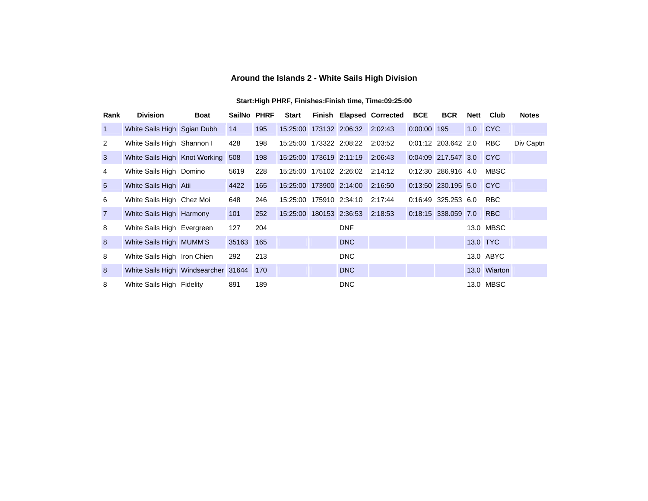## **Around the Islands 2 - White Sails High Division**

| Rank            | <b>Division</b>                         | <b>Boat</b> | SailNo PHRF |     | Start                   |                                 | Finish Elapsed Corrected | <b>BCE</b>  | <b>BCR</b>            | <b>Nett</b> | Club         | <b>Notes</b> |
|-----------------|-----------------------------------------|-------------|-------------|-----|-------------------------|---------------------------------|--------------------------|-------------|-----------------------|-------------|--------------|--------------|
| $\vert$ 1       | White Sails High Sgian Dubh             |             | 14          | 195 |                         | 15:25:00 173132 2:06:32 2:02:43 |                          | 0:00:00 195 |                       |             | 1.0 CYC      |              |
| 2               | White Sails High Shannon I              |             | 428         | 198 |                         | 15:25:00 173322 2:08:22 2:03:52 |                          |             | 0:01:12 203.642 2.0   |             | <b>RBC</b>   | Div Captn    |
| $\mathbf{3}$    | White Sails High Knot Working           |             | 508         | 198 | 15:25:00 173619 2:11:19 |                                 | 2:06:43                  |             | 0:04:09 217.547 3.0   |             | <b>CYC</b>   |              |
| 4               | White Sails High Domino                 |             | 5619        | 228 |                         | 15:25:00 175102 2:26:02 2:14:12 |                          |             | 0:12:30 286.916 4.0   |             | MBSC         |              |
| $5\overline{)}$ | White Sails High Atii                   |             | 4422        | 165 | 15:25:00 173900 2:14:00 |                                 | 2:16:50                  |             | 0:13:50 230.195 5.0   |             | <b>CYC</b>   |              |
| 6               | White Sails High Chez Moi               |             | 648         | 246 |                         | 15:25:00 175910 2:34:10 2:17:44 |                          |             | $0:16:49$ 325.253 6.0 |             | <b>RBC</b>   |              |
| $\overline{7}$  | White Sails High Harmony                |             | 101         | 252 |                         | 15:25:00 180153 2:36:53 2:18:53 |                          |             | 0:18:15 338.059 7.0   |             | <b>RBC</b>   |              |
| 8               | White Sails High Evergreen              |             | 127         | 204 |                         | <b>DNF</b>                      |                          |             |                       |             | 13.0 MBSC    |              |
| 8 <sup>°</sup>  | White Sails High MUMM'S                 |             | 35163 165   |     |                         | <b>DNC</b>                      |                          |             |                       |             | 13.0 TYC     |              |
| 8               | White Sails High Iron Chien             |             | 292         | 213 |                         | <b>DNC</b>                      |                          |             |                       |             | 13.0 ABYC    |              |
| 8               | White Sails High Windsearcher 31644 170 |             |             |     |                         | DNC                             |                          |             |                       |             | 13.0 Wiarton |              |
| 8               | White Sails High Fidelity               |             | 891         | 189 |                         | <b>DNC</b>                      |                          |             |                       |             | 13.0 MBSC    |              |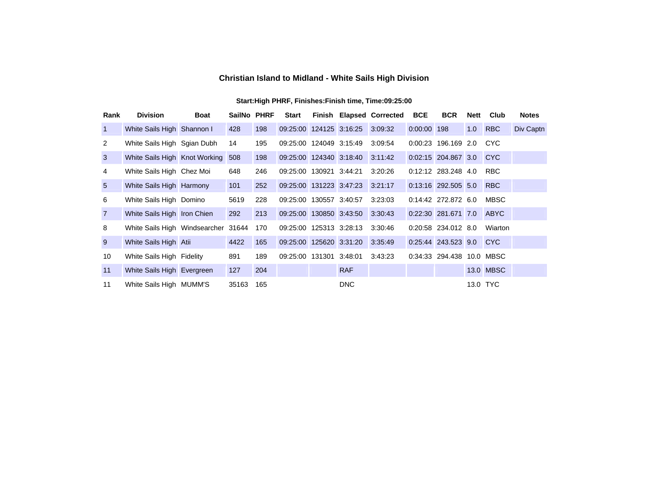## **Christian Island to Midland - White Sails High Division**

| Rank            | <b>Division</b>                     | <b>Boat</b> | SailNo PHRF |     | <b>Start</b>            |                                 | <b>Finish Elapsed Corrected</b> | <b>BCE</b>  | <b>BCR</b>                | <b>Nett</b> | Club        | <b>Notes</b> |
|-----------------|-------------------------------------|-------------|-------------|-----|-------------------------|---------------------------------|---------------------------------|-------------|---------------------------|-------------|-------------|--------------|
| $\overline{1}$  | White Sails High Shannon I          |             | 428         | 198 | 09:25:00 124125 3:16:25 |                                 | 3:09:32                         | 0:00:00 198 |                           | 1.0         | <b>RBC</b>  | Div Captn    |
| 2               | White Sails High Sgian Dubh         |             | 14          | 195 | 09:25:00 124049 3:15:49 |                                 | 3:09:54                         |             | 0:00:23 196.169 2.0       |             | <b>CYC</b>  |              |
| $\mathbf{3}$    | White Sails High Knot Working       |             | 508         | 198 | 09:25:00 124340 3:18:40 |                                 | 3:11:42                         |             | 0:02:15 204.867 3.0       |             | <b>CYC</b>  |              |
| 4               | White Sails High Chez Moi           |             | 648         | 246 | 09:25:00 130921 3:44:21 |                                 | 3:20:26                         |             | 0:12:12 283.248 4.0       |             | <b>RBC</b>  |              |
| $5\overline{)}$ | White Sails High Harmony            |             | 101         | 252 |                         | 09:25:00 131223 3:47:23 3:21:17 |                                 |             | 0:13:16 292.505 5.0       |             | <b>RBC</b>  |              |
| 6               | White Sails High Domino             |             | 5619        | 228 | 09:25:00 130557 3:40:57 |                                 | 3:23:03                         |             | 0:14:42 272.872 6.0       |             | <b>MBSC</b> |              |
| $\overline{7}$  | White Sails High Iron Chien         |             | 292         | 213 | 09:25:00 130850 3:43:50 |                                 | 3:30:43                         |             | 0:22:30 281.671 7.0       |             | <b>ABYC</b> |              |
| 8               | White Sails High Windsearcher 31644 |             |             | 170 |                         | 09:25:00 125313 3:28:13 3:30:46 |                                 |             | 0:20:58 234.012 8.0       |             | Wiarton     |              |
| 9               | White Sails High Atii               |             | 4422        | 165 | 09:25:00 125620 3:31:20 |                                 | 3:35:49                         |             | 0:25:44 243.523 9.0 CYC   |             |             |              |
| 10              | White Sails High Fidelity           |             | 891         | 189 | 09:25:00 131301 3:48:01 |                                 | 3:43:23                         |             | 0:34:33 294.438 10.0 MBSC |             |             |              |
| 11              | White Sails High Evergreen          |             | 127         | 204 |                         | <b>RAF</b>                      |                                 |             |                           |             | 13.0 MBSC   |              |
| 11              | White Sails High MUMM'S             |             | 35163       | 165 |                         | <b>DNC</b>                      |                                 |             |                           |             | 13.0 TYC    |              |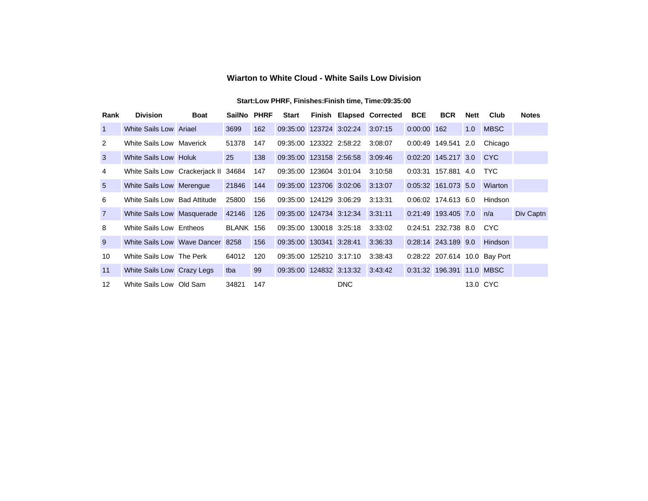### **Wiarton to White Cloud - White Sails Low Division**

| Rank            | <b>Division</b>                  | <b>Boat</b> | SailNo PHRF |     | <b>Start</b>            |                                 | <b>Finish Elapsed Corrected</b> | <b>BCE</b>  | <b>BCR</b>                | <b>Nett</b> | Club                          | <b>Notes</b> |
|-----------------|----------------------------------|-------------|-------------|-----|-------------------------|---------------------------------|---------------------------------|-------------|---------------------------|-------------|-------------------------------|--------------|
| $\overline{1}$  | White Sails Low Ariael           |             | 3699        | 162 |                         | 09:35:00 123724 3:02:24 3:07:15 |                                 | 0:00:00 162 |                           | 1.0         | <b>MBSC</b>                   |              |
| 2               | White Sails Low Maverick         |             | 51378       | 147 | 09:35:00 123322 2:58:22 |                                 | 3:08:07                         |             | 0:00:49 149.541 2.0       |             | Chicago                       |              |
| 3               | White Sails Low Holuk            |             | 25          | 138 | 09:35:00 123158 2:56:58 |                                 | 3:09:46                         |             | 0:02:20 145.217 3.0 CYC   |             |                               |              |
| 4               | White Sails Low Crackerjack II   |             | 34684       | 147 | 09:35:00 123604 3:01:04 |                                 | 3:10:58                         |             | 0:03:31 157.881 4.0       |             | <b>TYC</b>                    |              |
| $5\overline{)}$ | White Sails Low Merengue         |             | 21846       | 144 | 09:35:00 123706 3:02:06 |                                 | 3:13:07                         |             | 0:05:32 161.073 5.0       |             | Wiarton                       |              |
| 6               | White Sails Low Bad Attitude     |             | 25800       | 156 | 09:35:00 124129 3:06:29 |                                 | 3:13:31                         |             | $0:06:02$ 174.613 6.0     |             | Hindson                       |              |
| $\overline{7}$  | White Sails Low Masquerade       |             | 42146       | 126 |                         | 09:35:00 124734 3:12:34 3:31:11 |                                 |             | 0:21:49 193.405 7.0       |             | n/a                           | Div Captn    |
| 8               | White Sails Low Entheos          |             | BLANK 156   |     | 09:35:00 130018 3:25:18 |                                 | 3:33:02                         |             | 0:24:51 232.738 8.0       |             | CYC.                          |              |
| 9               | White Sails Low Wave Dancer 8258 |             |             | 156 | 09:35:00 130341 3:28:41 |                                 | 3:36:33                         |             | 0:28:14 243.189 9.0       |             | Hindson                       |              |
| 10              | White Sails Low The Perk         |             | 64012       | 120 | 09:35:00 125210 3:17:10 |                                 | 3:38:43                         |             |                           |             | 0:28:22 207.614 10.0 Bay Port |              |
| 11              | White Sails Low Crazy Legs       |             | tba         | 99  | 09:35:00 124832 3:13:32 |                                 | 3:43:42                         |             | 0:31:32 196.391 11.0 MBSC |             |                               |              |
| 12              | White Sails Low Old Sam          |             | 34821       | 147 |                         | <b>DNC</b>                      |                                 |             |                           |             | 13.0 CYC                      |              |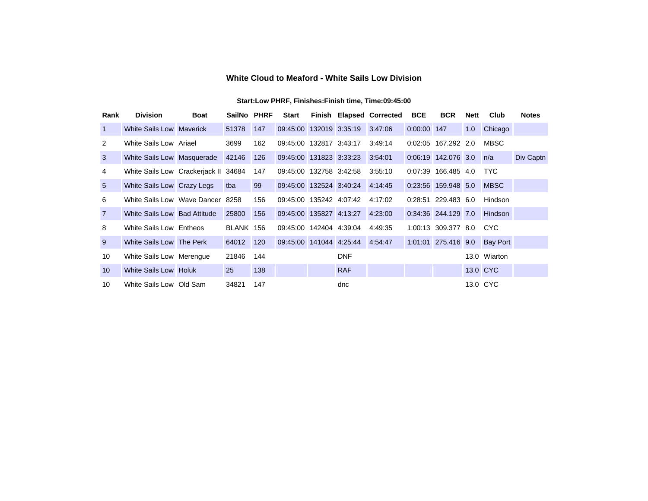### **White Cloud to Meaford - White Sails Low Division**

| Rank            | <b>Division</b>                      | <b>Boat</b> | SailNo PHRF |     | <b>Start</b>            |                                 | Finish Elapsed Corrected | <b>BCE</b>  | <b>BCR</b>              | Nett | Club                         | <b>Notes</b> |
|-----------------|--------------------------------------|-------------|-------------|-----|-------------------------|---------------------------------|--------------------------|-------------|-------------------------|------|------------------------------|--------------|
| $\overline{1}$  | White Sails Low Maverick             |             | 51378       | 147 |                         | 09:45:00 132019 3:35:19 3:47:06 |                          | 0:00:00 147 |                         | 1.0  | Chicago                      |              |
| 2               | White Sails Low Ariael               |             | 3699        | 162 | 09:45:00 132817 3:43:17 |                                 | 3:49:14                  |             | 0:02:05 167.292 2.0     |      | <b>MBSC</b>                  |              |
| $\mathbf{3}$    | White Sails Low Masquerade           |             | 42146       | 126 |                         | 09:45:00 131823 3:33:23 3:54:01 |                          |             | 0:06:19 142.076 3.0     |      | n/a                          | Div Captn    |
| 4               | White Sails Low Crackerjack II 34684 |             |             | 147 | 09:45:00 132758 3:42:58 |                                 | 3:55:10                  |             | 0:07:39 166.485 4.0     |      | <b>TYC</b>                   |              |
| $5\overline{)}$ | White Sails Low Crazy Legs           |             | tba         | 99  |                         | 09:45:00 132524 3:40:24 4:14:45 |                          |             | 0:23:56 159.948 5.0     |      | <b>MBSC</b>                  |              |
| 6               | White Sails Low Wave Dancer 8258     |             |             | 156 |                         | 09:45:00 135242 4:07:42         | 4:17:02                  |             | 0:28:51 229.483 6.0     |      | Hindson                      |              |
| $\overline{7}$  | White Sails Low Bad Attitude         |             | 25800       | 156 | 09:45:00 135827 4:13:27 |                                 | 4:23:00                  |             | 0:34:36 244.129 7.0     |      | Hindson                      |              |
| 8               | White Sails Low Entheos              |             | BLANK 156   |     | 09:45:00 142404 4:39:04 |                                 | 4:49:35                  |             | 1:00:13 309.377 8.0 CYC |      |                              |              |
| 9               | White Sails Low The Perk             |             | 64012       | 120 |                         | 09:45:00 141044 4:25:44 4:54:47 |                          |             |                         |      | 1:01:01 275.416 9.0 Bay Port |              |
| 10              | White Sails Low Merengue             |             | 21846       | 144 |                         | <b>DNF</b>                      |                          |             |                         |      | 13.0 Wiarton                 |              |
| 10 <sup>°</sup> | White Sails Low Holuk                |             | 25          | 138 |                         | <b>RAF</b>                      |                          |             |                         |      | 13.0 CYC                     |              |
| 10              | White Sails Low Old Sam              |             | 34821       | 147 |                         | dnc                             |                          |             |                         |      | 13.0 CYC                     |              |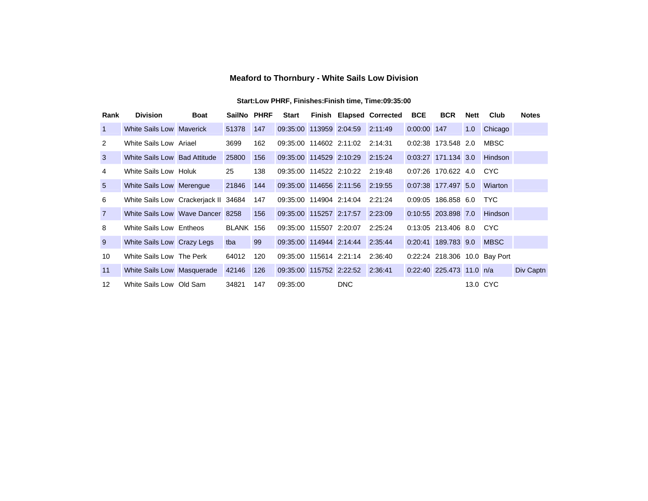### **Meaford to Thornbury - White Sails Low Division**

| Rank            | <b>Division</b>                      | <b>Boat</b> | SailNo PHRF |     | <b>Start</b>            |                         | <b>Finish Elapsed Corrected</b> | <b>BCE</b>  | <b>BCR</b>               | <b>Nett</b> | Club                          | <b>Notes</b> |
|-----------------|--------------------------------------|-------------|-------------|-----|-------------------------|-------------------------|---------------------------------|-------------|--------------------------|-------------|-------------------------------|--------------|
| 1               | White Sails Low Maverick             |             | 51378       | 147 | 09:35:00 113959 2:04:59 |                         | 2:11:49                         | 0:00:00 147 |                          | 1.0         | Chicago                       |              |
| 2               | White Sails Low Ariael               |             | 3699        | 162 | 09:35:00 114602 2:11:02 |                         | 2:14:31                         |             | 0:02:38 173.548 2.0      |             | <b>MBSC</b>                   |              |
| 3               | White Sails Low Bad Attitude         |             | 25800       | 156 | 09:35:00 114529 2:10:29 |                         | 2:15:24                         |             | 0:03:27 171.134 3.0      |             | <b>Hindson</b>                |              |
| 4               | White Sails Low Holuk                |             | 25          | 138 | 09:35:00 114522 2:10:22 |                         | 2:19:48                         |             | $0:07:26$ 170.622 4.0    |             | <b>CYC</b>                    |              |
| $5\overline{)}$ | White Sails Low Merengue             |             | 21846       | 144 |                         | 09:35:00 114656 2:11:56 | 2:19:55                         |             | 0:07:38 177.497 5.0      |             | Wiarton                       |              |
| 6               | White Sails Low Crackerjack II 34684 |             |             | 147 | 09:35:00 114904 2:14:04 |                         | 2:21:24                         |             | 0:09:05 186.858 6.0      |             | <b>TYC</b>                    |              |
| $\overline{7}$  | White Sails Low Wave Dancer 8258     |             |             | 156 | 09:35:00 115257 2:17:57 |                         | 2:23:09                         |             | 0:10:55 203.898 7.0      |             | Hindson                       |              |
| 8               | White Sails Low Entheos              |             | BLANK 156   |     | 09:35:00 115507 2:20:07 |                         | 2:25:24                         |             | 0:13:05 213.406 8.0      |             | CYC.                          |              |
| 9               | White Sails Low Crazy Legs           |             | tba         | 99  | 09:35:00 114944 2:14:44 |                         | 2:35:44                         |             | 0:20:41 189.783 9.0      |             | <b>MBSC</b>                   |              |
| 10              | White Sails Low The Perk             |             | 64012       | 120 | 09:35:00 115614 2:21:14 |                         | 2:36:40                         |             |                          |             | 0:22:24 218.306 10.0 Bay Port |              |
| 11              | White Sails Low Masquerade           |             | 42146       | 126 | 09:35:00 115752 2:22:52 |                         | 2:36:41                         |             | 0:22:40 225.473 11.0 n/a |             |                               | Div Captn    |
| 12              | White Sails Low Old Sam              |             | 34821       | 147 | 09:35:00                | <b>DNC</b>              |                                 |             |                          |             | 13.0 CYC                      |              |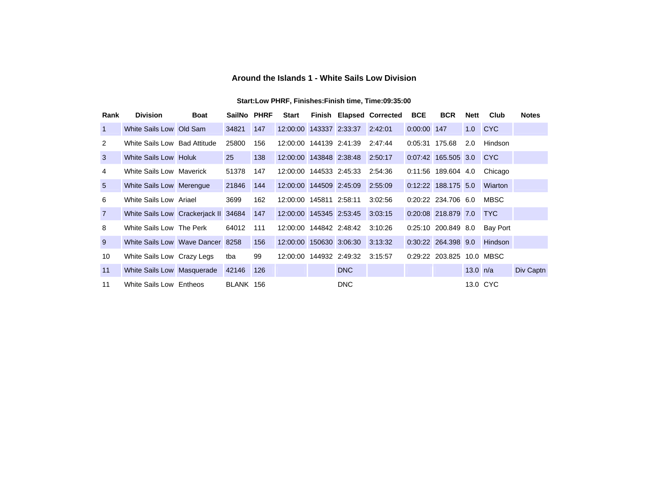### **Around the Islands 1 - White Sails Low Division**

| Rank           | <b>Division</b>                  | <b>Boat</b> | SailNo PHRF |     | <b>Start</b>              |                                 | <b>Finish Elapsed Corrected</b> | <b>BCE</b>     | <b>BCR</b>                | Nett       | Club       | <b>Notes</b> |
|----------------|----------------------------------|-------------|-------------|-----|---------------------------|---------------------------------|---------------------------------|----------------|---------------------------|------------|------------|--------------|
| $\overline{1}$ | White Sails Low Old Sam          |             | 34821       | 147 |                           | 12:00:00 143337 2:33:37 2:42:01 |                                 | 0:00:00 147    |                           | 1.0        | <b>CYC</b> |              |
| 2              | White Sails Low Bad Attitude     |             | 25800       | 156 | 12:00:00 144139 2:41:39   |                                 | 2:47:44                         | 0:05:31 175.68 |                           | 2.0        | Hindson    |              |
| $\mathbf{3}$   | White Sails Low Holuk            |             | 25          | 138 |                           | 12:00:00 143848 2:38:48 2:50:17 |                                 |                | 0:07:42 165.505 3.0 CYC   |            |            |              |
| 4              | White Sails Low Maverick         |             | 51378       | 147 | 12:00:00 144533 2:45:33   |                                 | 2:54:36                         |                | 0:11:56 189.604 4.0       |            | Chicago    |              |
| $5^{\circ}$    | White Sails Low Merengue         |             | 21846       | 144 | 12:00:00 144509 2:45:09   |                                 | 2:55:09                         |                | 0:12:22 188.175 5.0       |            | Wiarton    |              |
| 6              | White Sails Low Ariael           |             | 3699        | 162 | 12:00:00  145811  2:58:11 |                                 | 3:02:56                         |                | 0:20:22 234.706 6.0       |            | MBSC       |              |
| $\overline{7}$ | White Sails Low Crackerjack II   |             | 34684       | 147 | 12:00:00 145345 2:53:45   |                                 | 3:03:15                         |                | 0:20:08 218.879 7.0       |            | <b>TYC</b> |              |
| 8              | White Sails Low The Perk         |             | 64012       | 111 | 12:00:00 144842 2:48:42   |                                 | 3:10:26                         |                | 0:25:10 200.849 8.0       |            | Bay Port   |              |
| 9              | White Sails Low Wave Dancer 8258 |             |             | 156 | 12:00:00 150630 3:06:30   |                                 | 3:13:32                         |                | 0:30:22 264.398 9.0       |            | Hindson    |              |
| 10             | White Sails Low Crazy Legs       |             | tba         | 99  |                           | 12:00:00 144932 2:49:32 3:15:57 |                                 |                | 0:29:22 203.825 10.0 MBSC |            |            |              |
| 11             | White Sails Low Masquerade       |             | 42146       | 126 |                           | <b>DNC</b>                      |                                 |                |                           | 13.0 $n/a$ |            | Div Captn    |
| 11             | White Sails Low Entheos          |             | BLANK 156   |     |                           | <b>DNC</b>                      |                                 |                |                           |            | 13.0 CYC   |              |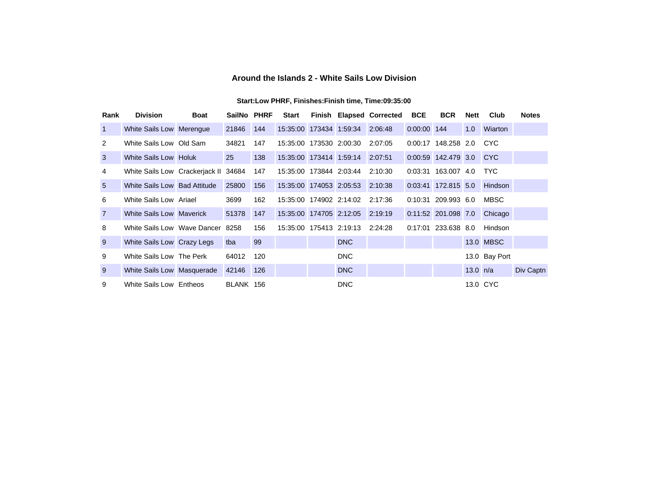### **Around the Islands 2 - White Sails Low Division**

| Rank            | <b>Division</b>                  | <b>Boat</b> | SailNo PHRF |     | Start                   |                                 | <b>Finish Elapsed Corrected</b> | <b>BCE</b>  | <b>BCR</b>              | Nett       | Club           | <b>Notes</b> |
|-----------------|----------------------------------|-------------|-------------|-----|-------------------------|---------------------------------|---------------------------------|-------------|-------------------------|------------|----------------|--------------|
| $\mathbf{1}$    | White Sails Low Merengue         |             | 21846       | 144 |                         | 15:35:00 173434 1:59:34 2:06:48 |                                 | 0:00:00 144 |                         | 1.0        | <b>Wiarton</b> |              |
| 2               | White Sails Low Old Sam          |             | 34821       | 147 | 15:35:00 173530 2:00:30 |                                 | 2:07:05                         |             | 0:00:17 148.258 2.0     |            | CYC.           |              |
| $\mathbf{3}$    | White Sails Low Holuk            |             | 25          | 138 |                         | 15:35:00 173414 1:59:14 2:07:51 |                                 |             | 0:00:59 142.479 3.0 CYC |            |                |              |
| 4               | White Sails Low Crackerjack II   |             | 34684       | 147 | 15:35:00 173844 2:03:44 |                                 | 2:10:30                         |             | 0:03:31 163.007 4.0     |            | <b>TYC</b>     |              |
| $5\overline{)}$ | White Sails Low Bad Attitude     |             | 25800       | 156 |                         | 15:35:00 174053 2:05:53         | 2:10:38                         |             | 0:03:41 172.815 5.0     |            | Hindson        |              |
| 6               | White Sails Low Ariael           |             | 3699        | 162 | 15:35:00 174902 2:14:02 |                                 | 2:17:36                         |             | $0:10:31$ 209.993 6.0   |            | <b>MBSC</b>    |              |
| $\overline{7}$  | White Sails Low Maverick         |             | 51378       | 147 |                         | 15:35:00 174705 2:12:05 2:19:19 |                                 |             | 0:11:52 201.098 7.0     |            | Chicago        |              |
| 8               | White Sails Low Wave Dancer 8258 |             |             | 156 |                         | 15:35:00 175413 2:19:13 2:24:28 |                                 |             | 0:17:01 233.638 8.0     |            | Hindson        |              |
| 9               | White Sails Low Crazy Legs       |             | tba         | 99  |                         | <b>DNC</b>                      |                                 |             |                         |            | 13.0 MBSC      |              |
| 9               | White Sails Low The Perk         |             | 64012       | 120 |                         | <b>DNC</b>                      |                                 |             |                         |            | 13.0 Bay Port  |              |
| 9               | White Sails Low Masquerade       |             | 42146       | 126 |                         | <b>DNC</b>                      |                                 |             |                         | 13.0 $n/a$ |                | Div Captn    |
| 9               | White Sails Low Entheos          |             | BLANK 156   |     |                         | <b>DNC</b>                      |                                 |             |                         |            | 13.0 CYC       |              |